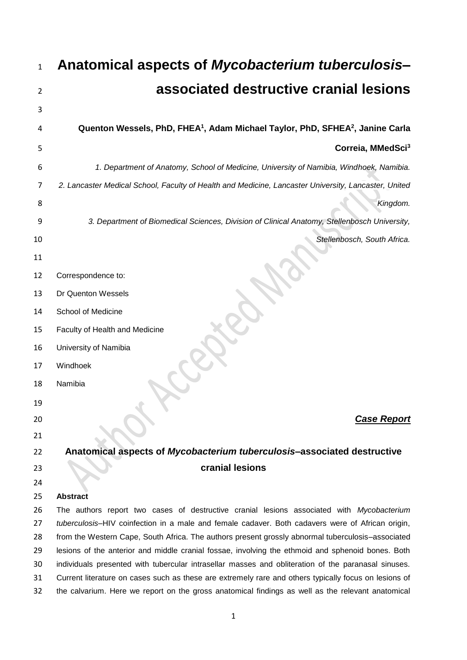| associated destructive cranial lesions<br>Quenton Wessels, PhD, FHEA <sup>1</sup> , Adam Michael Taylor, PhD, SFHEA <sup>2</sup> , Janine Carla<br>Correia, MMedSci <sup>3</sup><br>1. Department of Anatomy, School of Medicine, University of Namibia, Windhoek, Namibia.<br>2. Lancaster Medical School, Faculty of Health and Medicine, Lancaster University, Lancaster, United |
|-------------------------------------------------------------------------------------------------------------------------------------------------------------------------------------------------------------------------------------------------------------------------------------------------------------------------------------------------------------------------------------|
|                                                                                                                                                                                                                                                                                                                                                                                     |
|                                                                                                                                                                                                                                                                                                                                                                                     |
|                                                                                                                                                                                                                                                                                                                                                                                     |
|                                                                                                                                                                                                                                                                                                                                                                                     |
|                                                                                                                                                                                                                                                                                                                                                                                     |
|                                                                                                                                                                                                                                                                                                                                                                                     |
|                                                                                                                                                                                                                                                                                                                                                                                     |
| Kingdom.                                                                                                                                                                                                                                                                                                                                                                            |
| 3. Department of Biomedical Sciences, Division of Clinical Anatomy, Stellenbosch University,                                                                                                                                                                                                                                                                                        |
| Stellenbosch, South Africa.                                                                                                                                                                                                                                                                                                                                                         |
|                                                                                                                                                                                                                                                                                                                                                                                     |
|                                                                                                                                                                                                                                                                                                                                                                                     |
|                                                                                                                                                                                                                                                                                                                                                                                     |
|                                                                                                                                                                                                                                                                                                                                                                                     |
|                                                                                                                                                                                                                                                                                                                                                                                     |
|                                                                                                                                                                                                                                                                                                                                                                                     |
|                                                                                                                                                                                                                                                                                                                                                                                     |
|                                                                                                                                                                                                                                                                                                                                                                                     |
|                                                                                                                                                                                                                                                                                                                                                                                     |
|                                                                                                                                                                                                                                                                                                                                                                                     |
| <b>Case Report</b>                                                                                                                                                                                                                                                                                                                                                                  |
|                                                                                                                                                                                                                                                                                                                                                                                     |
| Anatomical aspects of Mycobacterium tuberculosis-associated destructive                                                                                                                                                                                                                                                                                                             |
|                                                                                                                                                                                                                                                                                                                                                                                     |
|                                                                                                                                                                                                                                                                                                                                                                                     |
|                                                                                                                                                                                                                                                                                                                                                                                     |
| The authors report two cases of destructive cranial lesions associated with Mycobacterium<br>tuberculosis-HIV coinfection in a male and female cadaver. Both cadavers were of African origin,                                                                                                                                                                                       |
| from the Western Cape, South Africa. The authors present grossly abnormal tuberculosis-associated                                                                                                                                                                                                                                                                                   |
| lesions of the anterior and middle cranial fossae, involving the ethmoid and sphenoid bones. Both                                                                                                                                                                                                                                                                                   |
| individuals presented with tubercular intrasellar masses and obliteration of the paranasal sinuses.                                                                                                                                                                                                                                                                                 |
| Current literature on cases such as these are extremely rare and others typically focus on lesions of                                                                                                                                                                                                                                                                               |
|                                                                                                                                                                                                                                                                                                                                                                                     |

the calvarium. Here we report on the gross anatomical findings as well as the relevant anatomical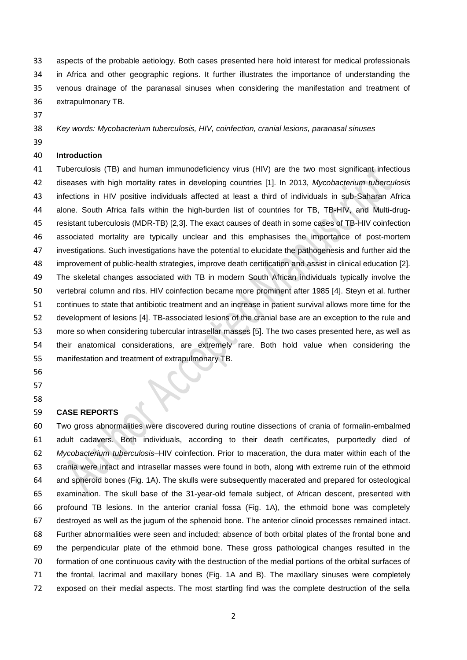aspects of the probable aetiology. Both cases presented here hold interest for medical professionals in Africa and other geographic regions. It further illustrates the importance of understanding the venous drainage of the paranasal sinuses when considering the manifestation and treatment of extrapulmonary TB.

- 
- 

*Key words: Mycobacterium tuberculosis, HIV, coinfection, cranial lesions, paranasal sinuses*

# **Introduction**

 Tuberculosis (TB) and human immunodeficiency virus (HIV) are the two most significant infectious diseases with high mortality rates in developing countries [1]. In 2013, *Mycobacterium tuberculosis* infections in HIV positive individuals affected at least a third of individuals in sub-Saharan Africa alone. South Africa falls within the high-burden list of countries for TB, TB-HIV, and Multi-drug- resistant tuberculosis (MDR-TB) [2,3]. The exact causes of death in some cases of TB-HIV coinfection associated mortality are typically unclear and this emphasises the importance of post-mortem investigations. Such investigations have the potential to elucidate the pathogenesis and further aid the improvement of public-health strategies, improve death certification and assist in clinical education [2]. The skeletal changes associated with TB in modern South African individuals typically involve the vertebral column and ribs. HIV coinfection became more prominent after 1985 [4]. Steyn et al. further continues to state that antibiotic treatment and an increase in patient survival allows more time for the development of lesions [4]. TB-associated lesions of the cranial base are an exception to the rule and more so when considering tubercular intrasellar masses [5]. The two cases presented here, as well as their anatomical considerations, are extremely rare. Both hold value when considering the manifestation and treatment of extrapulmonary TB.

# 

# **CASE REPORTS**

 Two gross abnormalities were discovered during routine dissections of crania of formalin-embalmed adult cadavers. Both individuals, according to their death certificates, purportedly died of *Mycobacterium tuberculosis*–HIV coinfection. Prior to maceration, the dura mater within each of the crania were intact and intrasellar masses were found in both, along with extreme ruin of the ethmoid and spheroid bones (Fig. 1A). The skulls were subsequently macerated and prepared for osteological examination. The skull base of the 31-year-old female subject, of African descent, presented with profound TB lesions. In the anterior cranial fossa (Fig. 1A), the ethmoid bone was completely destroyed as well as the jugum of the sphenoid bone. The anterior clinoid processes remained intact. Further abnormalities were seen and included; absence of both orbital plates of the frontal bone and the perpendicular plate of the ethmoid bone. These gross pathological changes resulted in the formation of one continuous cavity with the destruction of the medial portions of the orbital surfaces of the frontal, lacrimal and maxillary bones (Fig. 1A and B). The maxillary sinuses were completely exposed on their medial aspects. The most startling find was the complete destruction of the sella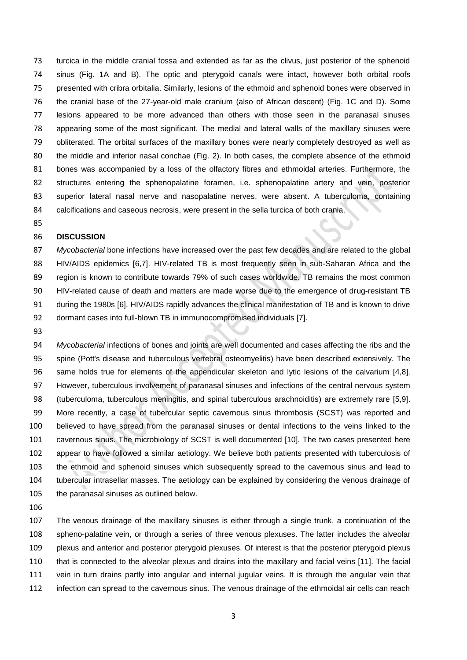turcica in the middle cranial fossa and extended as far as the clivus, just posterior of the sphenoid sinus (Fig. 1A and B). The optic and pterygoid canals were intact, however both orbital roofs presented with cribra orbitalia. Similarly, lesions of the ethmoid and sphenoid bones were observed in the cranial base of the 27-year-old male cranium (also of African descent) (Fig. 1C and D). Some lesions appeared to be more advanced than others with those seen in the paranasal sinuses appearing some of the most significant. The medial and lateral walls of the maxillary sinuses were obliterated. The orbital surfaces of the maxillary bones were nearly completely destroyed as well as the middle and inferior nasal conchae (Fig. 2). In both cases, the complete absence of the ethmoid bones was accompanied by a loss of the olfactory fibres and ethmoidal arteries. Furthermore, the structures entering the sphenopalatine foramen, i.e. sphenopalatine artery and vein, posterior superior lateral nasal nerve and nasopalatine nerves, were absent. A tuberculoma, containing calcifications and caseous necrosis, were present in the sella turcica of both crania.

#### **DISCUSSION**

 *Mycobacterial* bone infections have increased over the past few decades and are related to the global HIV/AIDS epidemics [6,7]. HIV-related TB is most frequently seen in sub-Saharan Africa and the region is known to contribute towards 79% of such cases worldwide. TB remains the most common HIV-related cause of death and matters are made worse due to the emergence of drug-resistant TB during the 1980s [6]. HIV/AIDS rapidly advances the clinical manifestation of TB and is known to drive dormant cases into full-blown TB in immunocompromised individuals [7].

 *Mycobacterial* infections of bones and joints are well documented and cases affecting the ribs and the spine (Pott's disease and tuberculous vertebral osteomyelitis) have been described extensively. The same holds true for elements of the appendicular skeleton and lytic lesions of the calvarium [4,8]. However, tuberculous involvement of paranasal sinuses and infections of the central nervous system (tuberculoma, tuberculous meningitis, and spinal tuberculous arachnoiditis) are extremely rare [5,9]. More recently, a case of tubercular septic cavernous sinus thrombosis (SCST) was reported and believed to have spread from the paranasal sinuses or dental infections to the veins linked to the cavernous sinus. The microbiology of SCST is well documented [10]. The two cases presented here appear to have followed a similar aetiology. We believe both patients presented with tuberculosis of the ethmoid and sphenoid sinuses which subsequently spread to the cavernous sinus and lead to tubercular intrasellar masses. The aetiology can be explained by considering the venous drainage of the paranasal sinuses as outlined below.

 The venous drainage of the maxillary sinuses is either through a single trunk, a continuation of the spheno-palatine vein, or through a series of three venous plexuses. The latter includes the alveolar plexus and anterior and posterior pterygoid plexuses. Of interest is that the posterior pterygoid plexus that is connected to the alveolar plexus and drains into the maxillary and facial veins [11]. The facial vein in turn drains partly into angular and internal jugular veins. It is through the angular vein that infection can spread to the cavernous sinus. The venous drainage of the ethmoidal air cells can reach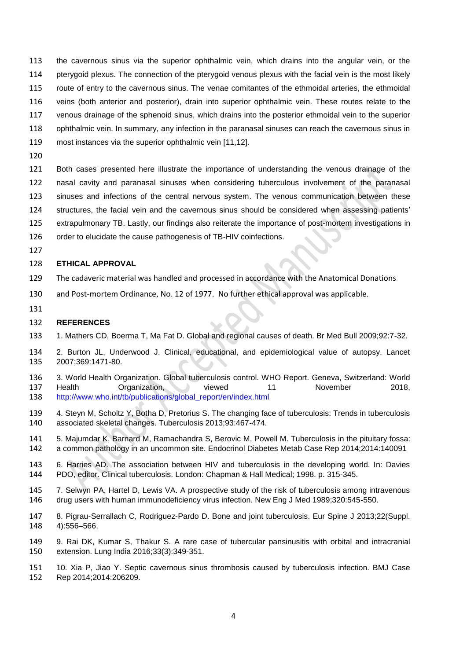the cavernous sinus via the superior ophthalmic vein, which drains into the angular vein, or the pterygoid plexus. The connection of the pterygoid venous plexus with the facial vein is the most likely route of entry to the cavernous sinus. The venae comitantes of the ethmoidal arteries, the ethmoidal veins (both anterior and posterior), drain into superior ophthalmic vein. These routes relate to the venous drainage of the sphenoid sinus, which drains into the posterior ethmoidal vein to the superior ophthalmic vein. In summary, any infection in the paranasal sinuses can reach the cavernous sinus in most instances via the superior ophthalmic vein [11,12].

 Both cases presented here illustrate the importance of understanding the venous drainage of the nasal cavity and paranasal sinuses when considering tuberculous involvement of the paranasal sinuses and infections of the central nervous system. The venous communication between these structures, the facial vein and the cavernous sinus should be considered when assessing patients' extrapulmonary TB. Lastly, our findings also reiterate the importance of post-mortem investigations in

- 126 order to elucidate the cause pathogenesis of TB-HIV coinfections.
- 

## **ETHICAL APPROVAL**

- The cadaveric material was handled and processed in accordance with the Anatomical Donations
- and Post-mortem Ordinance, No. 12 of 1977. No further ethical approval was applicable.
- 

## **REFERENCES**

- 1. Mathers CD, Boerma T, Ma Fat D. Global and regional causes of death. Br Med Bull 2009;92:7-32.
- 2. Burton JL, Underwood J. Clinical, educational, and epidemiological value of autopsy. Lancet 2007;369:1471-80.
- 3. World Health Organization. Global tuberculosis control. WHO Report. Geneva, Switzerland: World 137 Health Organization, viewed 11 November 2018, [http://www.who.int/tb/publications/global\\_report/en/index.html](http://www.who.int/tb/publications/global_report/en/index.html)
- 4. Steyn M, Scholtz Y, Botha D, Pretorius S. The changing face of tuberculosis: Trends in tuberculosis associated skeletal changes. Tuberculosis 2013;93:467-474.
- 5. Majumdar K, Barnard M, Ramachandra S, Berovic M, Powell M. Tuberculosis in the pituitary fossa: a common pathology in an uncommon site. Endocrinol Diabetes Metab Case Rep 2014;2014:140091
- 6. Harries AD. The association between HIV and tuberculosis in the developing world. In: Davies PDO, editor. Clinical tuberculosis. London: Chapman & Hall Medical; 1998. p. 315-345.
- 7. Selwyn PA, Hartel D, Lewis VA. A prospective study of the risk of tuberculosis among intravenous drug users with human immunodeficiency virus infection. New Eng J Med 1989;320:545-550.
- 8. Pigrau-Serrallach C, Rodriguez-Pardo D. Bone and joint tuberculosis. Eur Spine J 2013;22(Suppl. 4):556–566.
- 9. Rai DK, Kumar S, Thakur S. A rare case of tubercular pansinusitis with orbital and intracranial extension. Lung India 2016;33(3):349-351.
- 10. Xia P, Jiao Y. Septic cavernous sinus thrombosis caused by tuberculosis infection. BMJ Case Rep 2014;2014:206209.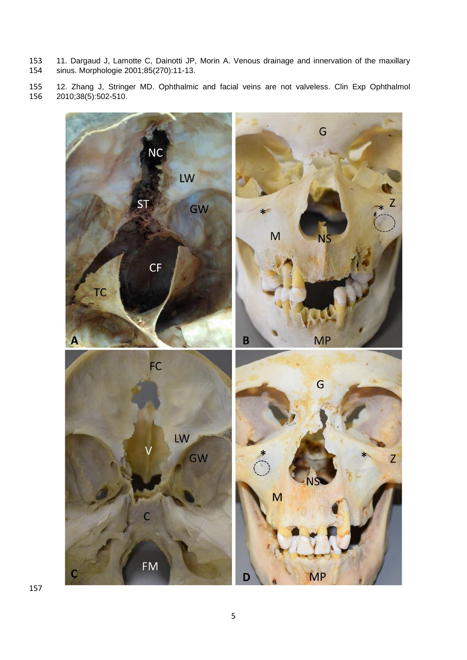- 153 11. Dargaud J, Lamotte C, Dainotti JP, Morin A. Venous drainage and innervation of the maxillary<br>154 sinus. Morphologie 2001;85(270):11-13. sinus. Morphologie 2001;85(270):11-13.
- 12. Zhang J, Stringer MD. Ophthalmic and facial veins are not valveless. Clin Exp Ophthalmol 2010;38(5):502-510.